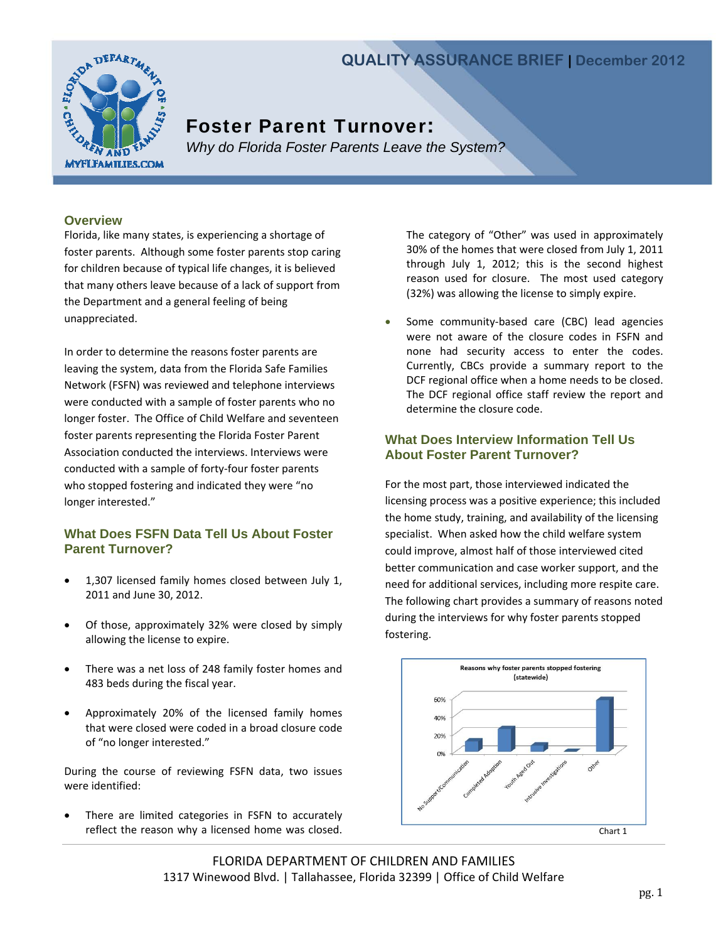# **QUALITY ASSURANCE BRIEF | December 2012**



# Foster Parent Turnover:

*Why do Florida Foster Parents Leave the System?* 

#### **Overview**

Florida, like many states, is experiencing a shortage of foster parents. Although some foster parents stop caring for children because of typical life changes, it is believed that many others leave because of a lack of support from the Department and a general feeling of being unappreciated.

In order to determine the reasons foster parents are leaving the system, data from the Florida Safe Families Network (FSFN) was reviewed and telephone interviews were conducted with a sample of foster parents who no longer foster. The Office of Child Welfare and seventeen foster parents representing the Florida Foster Parent Association conducted the interviews. Interviews were conducted with a sample of forty‐four foster parents who stopped fostering and indicated they were "no longer interested."

# **What Does FSFN Data Tell Us About Foster Parent Turnover?**

- 1,307 licensed family homes closed between July 1, 2011 and June 30, 2012.
- Of those, approximately 32% were closed by simply allowing the license to expire.
- There was a net loss of 248 family foster homes and 483 beds during the fiscal year.
- Approximately 20% of the licensed family homes that were closed were coded in a broad closure code of "no longer interested."

During the course of reviewing FSFN data, two issues were identified:

 There are limited categories in FSFN to accurately reflect the reason why a licensed home was closed. The category of "Other" was used in approximately 30% of the homes that were closed from July 1, 2011 through July 1, 2012; this is the second highest reason used for closure. The most used category (32%) was allowing the license to simply expire.

● Some community-based care (CBC) lead agencies were not aware of the closure codes in FSFN and none had security access to enter the codes. Currently, CBCs provide a summary report to the DCF regional office when a home needs to be closed. The DCF regional office staff review the report and determine the closure code.

## **What Does Interview Information Tell Us About Foster Parent Turnover?**

For the most part, those interviewed indicated the licensing process was a positive experience; this included the home study, training, and availability of the licensing specialist. When asked how the child welfare system could improve, almost half of those interviewed cited better communication and case worker support, and the need for additional services, including more respite care. The following chart provides a summary of reasons noted during the interviews for why foster parents stopped fostering.



FLORIDA DEPARTMENT OF CHILDREN AND FAMILIES 1317 Winewood Blvd. | Tallahassee, Florida 32399 | Office of Child Welfare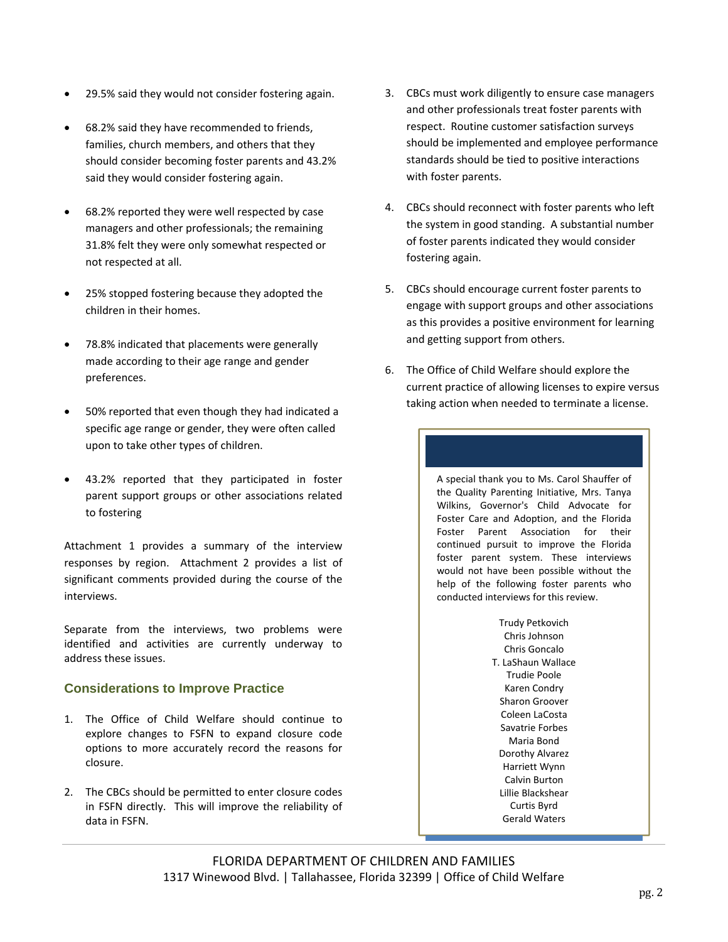- 29.5% said they would not consider fostering again.
- 68.2% said they have recommended to friends, families, church members, and others that they should consider becoming foster parents and 43.2% said they would consider fostering again.
- 68.2% reported they were well respected by case managers and other professionals; the remaining 31.8% felt they were only somewhat respected or not respected at all.
- 25% stopped fostering because they adopted the children in their homes.
- 78.8% indicated that placements were generally made according to their age range and gender preferences.
- 50% reported that even though they had indicated a specific age range or gender, they were often called upon to take other types of children.
- 43.2% reported that they participated in foster parent support groups or other associations related to fostering

Attachment 1 provides a summary of the interview responses by region. Attachment 2 provides a list of significant comments provided during the course of the interviews.

Separate from the interviews, two problems were identified and activities are currently underway to address these issues.

# **Considerations to Improve Practice**

- 1. The Office of Child Welfare should continue to explore changes to FSFN to expand closure code options to more accurately record the reasons for closure.
- 2. The CBCs should be permitted to enter closure codes in FSFN directly. This will improve the reliability of data in FSFN.
- 3. CBCs must work diligently to ensure case managers and other professionals treat foster parents with respect. Routine customer satisfaction surveys should be implemented and employee performance standards should be tied to positive interactions with foster parents.
- 4. CBCs should reconnect with foster parents who left the system in good standing. A substantial number of foster parents indicated they would consider fostering again.
- 5. CBCs should encourage current foster parents to engage with support groups and other associations as this provides a positive environment for learning and getting support from others.
- 6. The Office of Child Welfare should explore the current practice of allowing licenses to expire versus taking action when needed to terminate a license.

A special thank you to Ms. Carol Shauffer of the Quality Parenting Initiative, Mrs. Tanya Wilkins, Governor's Child Advocate for Foster Care and Adoption, and the Florida Foster Parent Association for their continued pursuit to improve the Florida foster parent system. These interviews would not have been possible without the help of the following foster parents who conducted interviews for this review.

> Trudy Petkovich Chris Johnson Chris Goncalo T. LaShaun Wallace Trudie Poole Karen Condry Sharon Groover Coleen LaCosta Savatrie Forbes Maria Bond Dorothy Alvarez Harriett Wynn Calvin Burton Lillie Blackshear Curtis Byrd Gerald Waters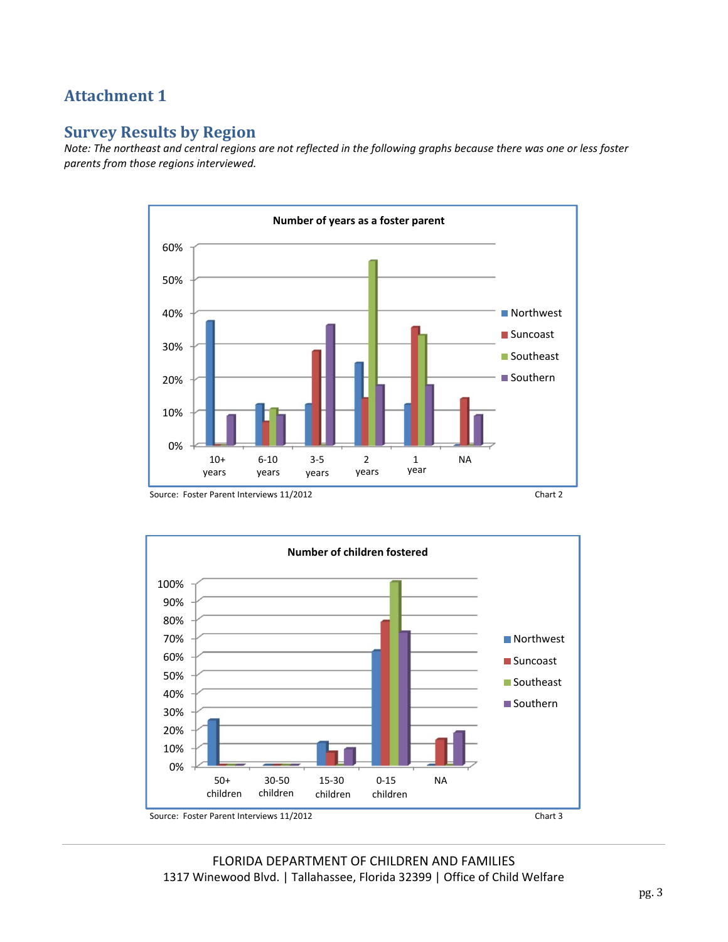# **Attachment 1**

# **Survey Results by Region**

Note: The northeast and central regions are not reflected in the following graphs because there was one or less foster *parents from those regions interviewed.*







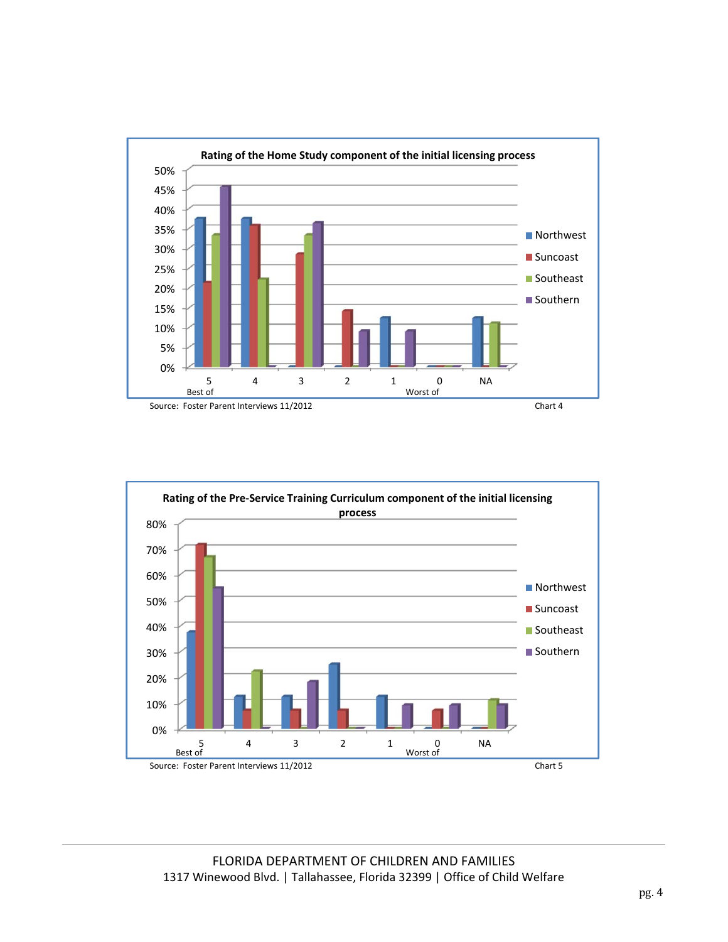

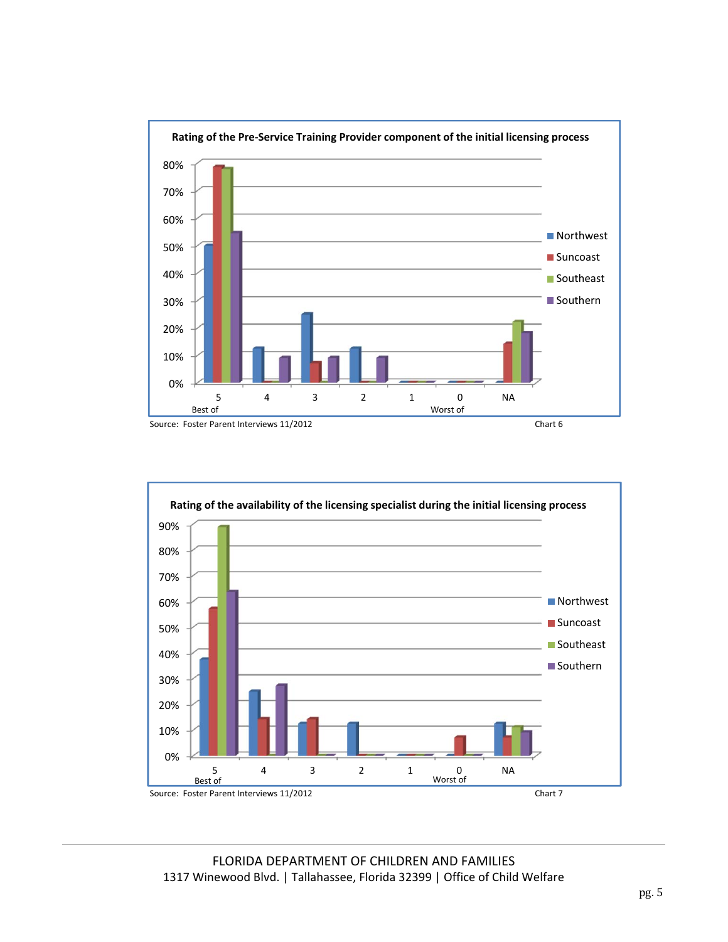

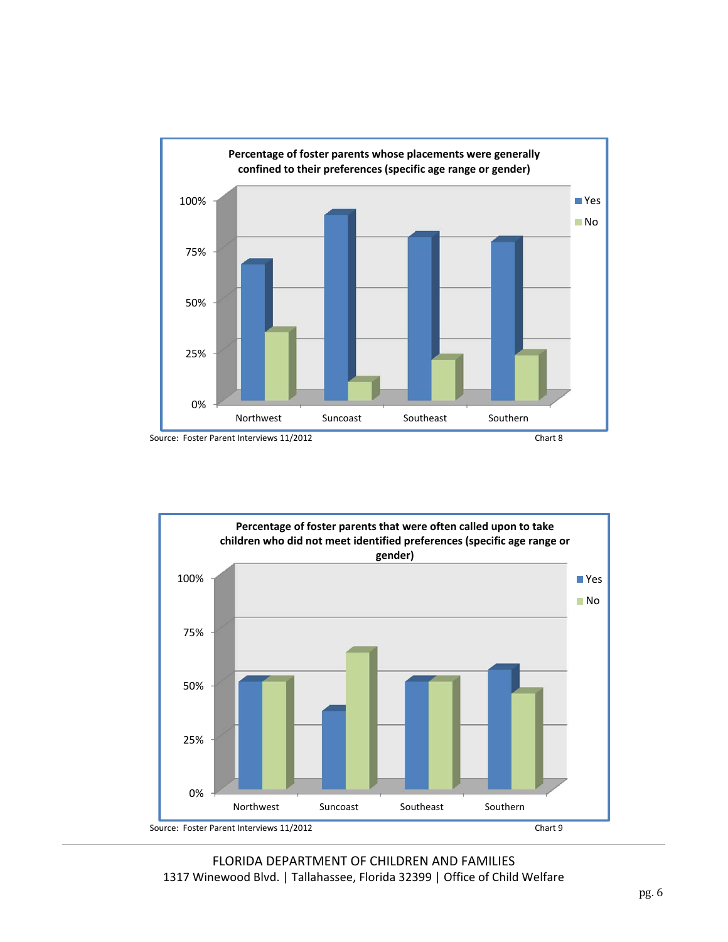



FLORIDA DEPARTMENT OF CHILDREN AND FAMILIES 1317 Winewood Blvd. | Tallahassee, Florida 32399 | Office of Child Welfare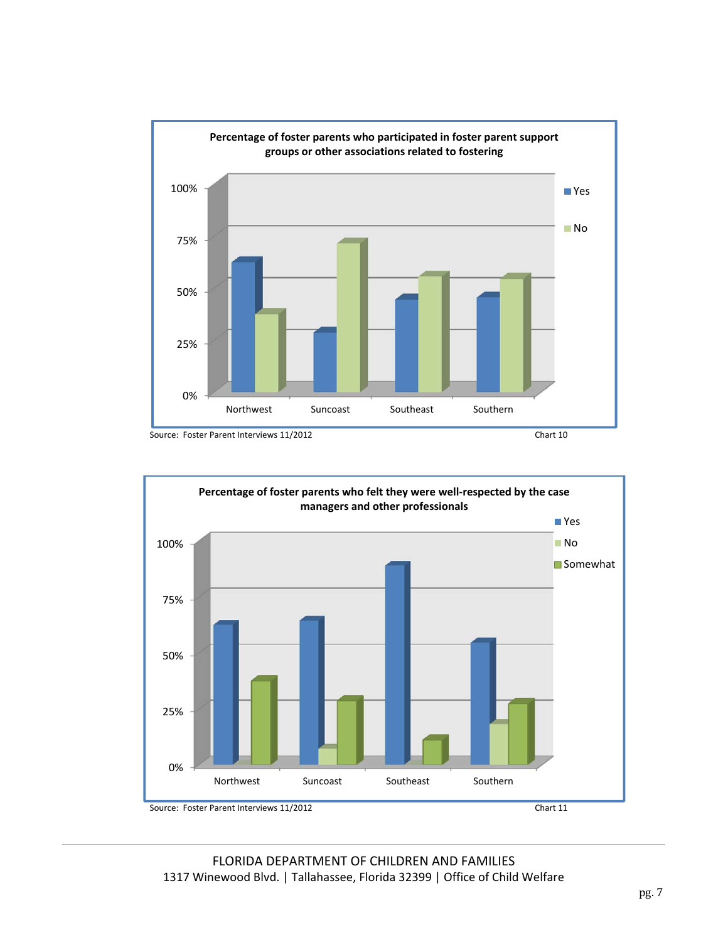

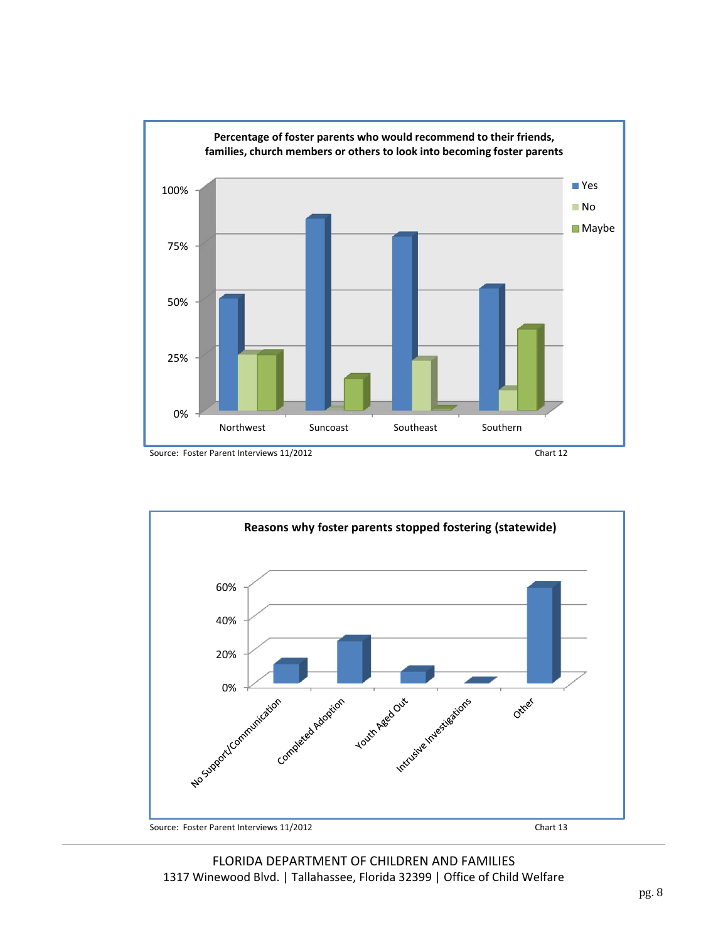



FLORIDA DEPARTMENT OF CHILDREN AND FAMILIES 1317 Winewood Blvd. | Tallahassee, Florida 32399 | Office of Child Welfare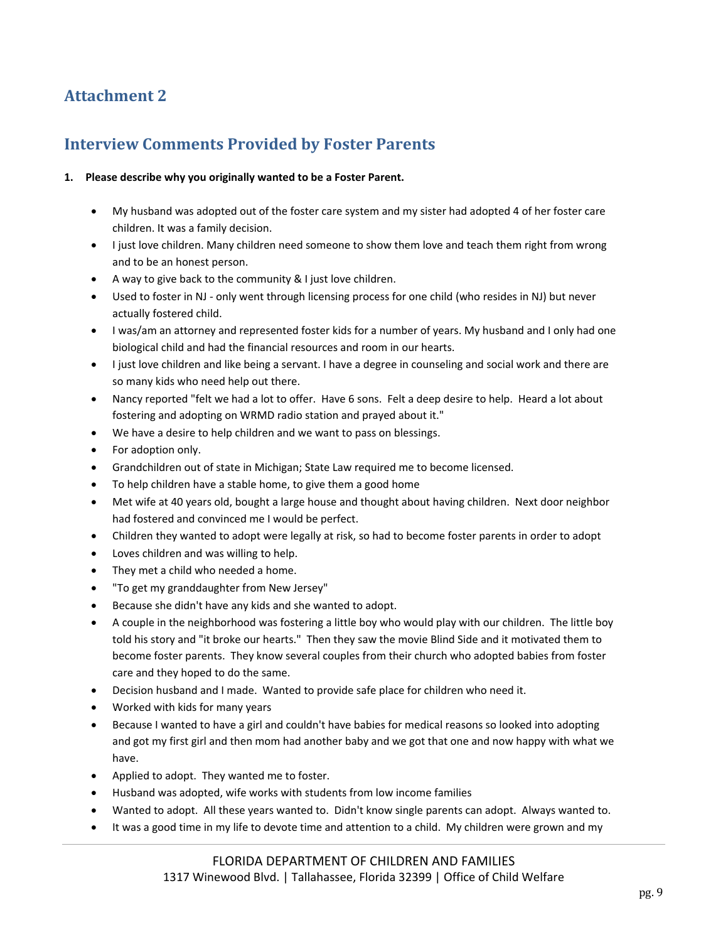# **Attachment 2**

# **Interview Comments Provided by Foster Parents**

#### **1. Please describe why you originally wanted to be a Foster Parent.**

- My husband was adopted out of the foster care system and my sister had adopted 4 of her foster care children. It was a family decision.
- I just love children. Many children need someone to show them love and teach them right from wrong and to be an honest person.
- A way to give back to the community & I just love children.
- Used to foster in NJ only went through licensing process for one child (who resides in NJ) but never actually fostered child.
- I was/am an attorney and represented foster kids for a number of years. My husband and I only had one biological child and had the financial resources and room in our hearts.
- I just love children and like being a servant. I have a degree in counseling and social work and there are so many kids who need help out there.
- Nancy reported "felt we had a lot to offer. Have 6 sons. Felt a deep desire to help. Heard a lot about fostering and adopting on WRMD radio station and prayed about it."
- We have a desire to help children and we want to pass on blessings.
- For adoption only.
- Grandchildren out of state in Michigan; State Law required me to become licensed.
- To help children have a stable home, to give them a good home
- Met wife at 40 years old, bought a large house and thought about having children. Next door neighbor had fostered and convinced me I would be perfect.
- Children they wanted to adopt were legally at risk, so had to become foster parents in order to adopt
- Loves children and was willing to help.
- They met a child who needed a home.
- "To get my granddaughter from New Jersey"
- Because she didn't have any kids and she wanted to adopt.
- A couple in the neighborhood was fostering a little boy who would play with our children. The little boy told his story and "it broke our hearts." Then they saw the movie Blind Side and it motivated them to become foster parents. They know several couples from their church who adopted babies from foster care and they hoped to do the same.
- Decision husband and I made. Wanted to provide safe place for children who need it.
- Worked with kids for many years
- Because I wanted to have a girl and couldn't have babies for medical reasons so looked into adopting and got my first girl and then mom had another baby and we got that one and now happy with what we have.
- Applied to adopt. They wanted me to foster.
- Husband was adopted, wife works with students from low income families
- Wanted to adopt. All these years wanted to. Didn't know single parents can adopt. Always wanted to.
- It was a good time in my life to devote time and attention to a child. My children were grown and my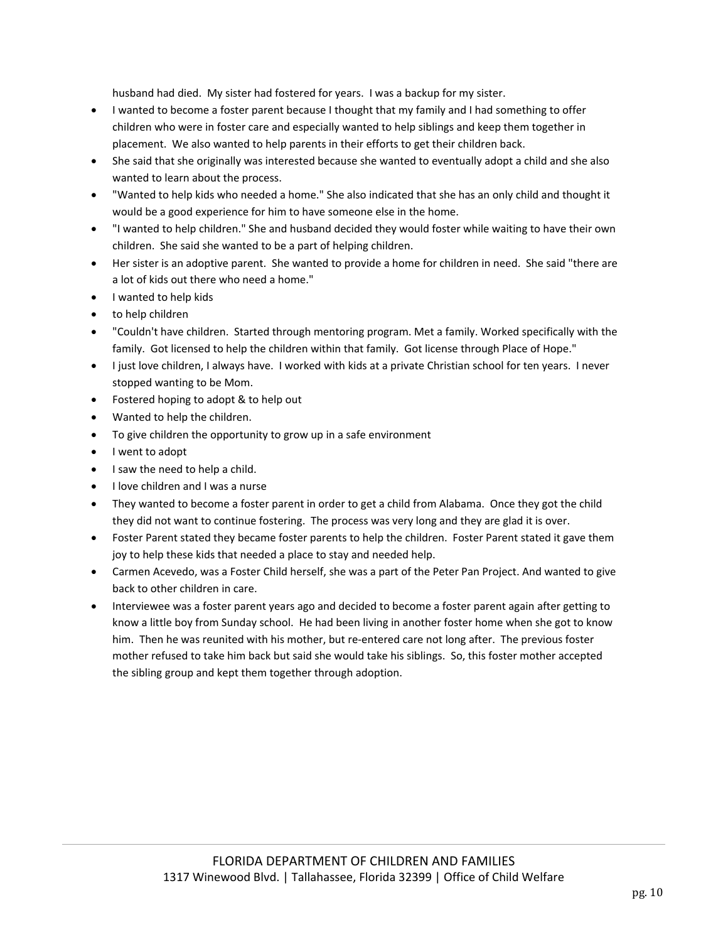husband had died. My sister had fostered for years. I was a backup for my sister.

- I wanted to become a foster parent because I thought that my family and I had something to offer children who were in foster care and especially wanted to help siblings and keep them together in placement. We also wanted to help parents in their efforts to get their children back.
- She said that she originally was interested because she wanted to eventually adopt a child and she also wanted to learn about the process.
- "Wanted to help kids who needed a home." She also indicated that she has an only child and thought it would be a good experience for him to have someone else in the home.
- "I wanted to help children." She and husband decided they would foster while waiting to have their own children. She said she wanted to be a part of helping children.
- Her sister is an adoptive parent. She wanted to provide a home for children in need. She said "there are a lot of kids out there who need a home."
- I wanted to help kids
- to help children
- "Couldn't have children. Started through mentoring program. Met a family. Worked specifically with the family. Got licensed to help the children within that family. Got license through Place of Hope."
- I just love children, I always have. I worked with kids at a private Christian school for ten years. I never stopped wanting to be Mom.
- Fostered hoping to adopt & to help out
- Wanted to help the children.
- To give children the opportunity to grow up in a safe environment
- I went to adopt
- $\bullet$  I saw the need to help a child.
- I love children and I was a nurse
- They wanted to become a foster parent in order to get a child from Alabama. Once they got the child they did not want to continue fostering. The process was very long and they are glad it is over.
- Foster Parent stated they became foster parents to help the children. Foster Parent stated it gave them joy to help these kids that needed a place to stay and needed help.
- Carmen Acevedo, was a Foster Child herself, she was a part of the Peter Pan Project. And wanted to give back to other children in care.
- Interviewee was a foster parent years ago and decided to become a foster parent again after getting to know a little boy from Sunday school. He had been living in another foster home when she got to know him. Then he was reunited with his mother, but re-entered care not long after. The previous foster mother refused to take him back but said she would take his siblings. So, this foster mother accepted the sibling group and kept them together through adoption.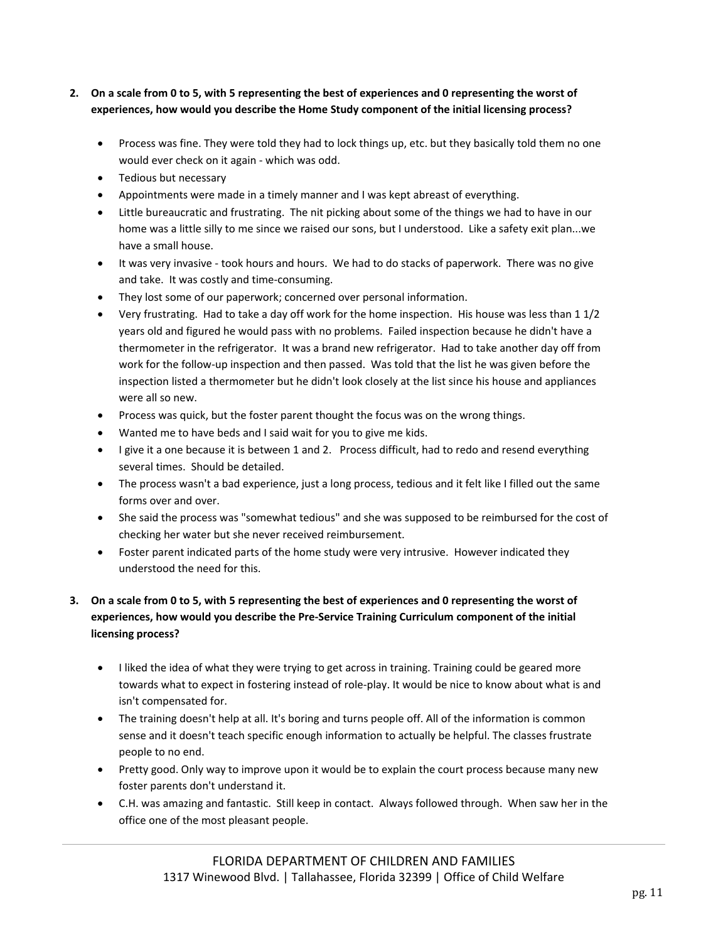### 2. On a scale from 0 to 5, with 5 representing the best of experiences and 0 representing the worst of **experiences, how would you describe the Home Study component of the initial licensing process?**

- Process was fine. They were told they had to lock things up, etc. but they basically told them no one would ever check on it again ‐ which was odd.
- Tedious but necessary
- Appointments were made in a timely manner and I was kept abreast of everything.
- Little bureaucratic and frustrating. The nit picking about some of the things we had to have in our home was a little silly to me since we raised our sons, but I understood. Like a safety exit plan...we have a small house.
- It was very invasive took hours and hours. We had to do stacks of paperwork. There was no give and take. It was costly and time‐consuming.
- They lost some of our paperwork; concerned over personal information.
- Very frustrating. Had to take a day off work for the home inspection. His house was less than 1 1/2 years old and figured he would pass with no problems. Failed inspection because he didn't have a thermometer in the refrigerator. It was a brand new refrigerator. Had to take another day off from work for the follow-up inspection and then passed. Was told that the list he was given before the inspection listed a thermometer but he didn't look closely at the list since his house and appliances were all so new.
- Process was quick, but the foster parent thought the focus was on the wrong things.
- Wanted me to have beds and I said wait for you to give me kids.
- I give it a one because it is between 1 and 2. Process difficult, had to redo and resend everything several times. Should be detailed.
- The process wasn't a bad experience, just a long process, tedious and it felt like I filled out the same forms over and over.
- She said the process was "somewhat tedious" and she was supposed to be reimbursed for the cost of checking her water but she never received reimbursement.
- Foster parent indicated parts of the home study were very intrusive. However indicated they understood the need for this.

# 3. On a scale from 0 to 5, with 5 representing the best of experiences and 0 representing the worst of **experiences, how would you describe the Pre‐Service Training Curriculum component of the initial licensing process?**

- I liked the idea of what they were trying to get across in training. Training could be geared more towards what to expect in fostering instead of role‐play. It would be nice to know about what is and isn't compensated for.
- The training doesn't help at all. It's boring and turns people off. All of the information is common sense and it doesn't teach specific enough information to actually be helpful. The classes frustrate people to no end.
- Pretty good. Only way to improve upon it would be to explain the court process because many new foster parents don't understand it.
- C.H. was amazing and fantastic. Still keep in contact. Always followed through. When saw her in the office one of the most pleasant people.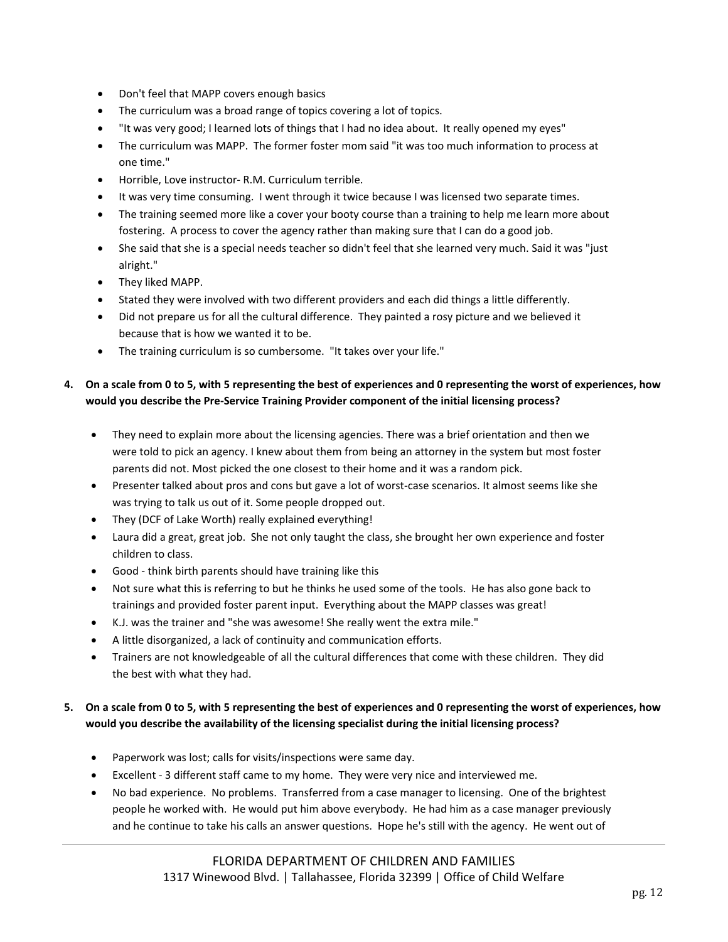- Don't feel that MAPP covers enough basics
- The curriculum was a broad range of topics covering a lot of topics.
- "It was very good; I learned lots of things that I had no idea about. It really opened my eyes"
- The curriculum was MAPP. The former foster mom said "it was too much information to process at one time."
- Horrible, Love instructor‐ R.M. Curriculum terrible.
- It was very time consuming. I went through it twice because I was licensed two separate times.
- The training seemed more like a cover your booty course than a training to help me learn more about fostering. A process to cover the agency rather than making sure that I can do a good job.
- She said that she is a special needs teacher so didn't feel that she learned very much. Said it was "just alright."
- They liked MAPP.
- Stated they were involved with two different providers and each did things a little differently.
- Did not prepare us for all the cultural difference. They painted a rosy picture and we believed it because that is how we wanted it to be.
- The training curriculum is so cumbersome. "It takes over your life."

## 4. On a scale from 0 to 5, with 5 representing the best of experiences and 0 representing the worst of experiences, how **would you describe the Pre‐Service Training Provider component of the initial licensing process?**

- They need to explain more about the licensing agencies. There was a brief orientation and then we were told to pick an agency. I knew about them from being an attorney in the system but most foster parents did not. Most picked the one closest to their home and it was a random pick.
- Presenter talked about pros and cons but gave a lot of worst-case scenarios. It almost seems like she was trying to talk us out of it. Some people dropped out.
- They (DCF of Lake Worth) really explained everything!
- Laura did a great, great job. She not only taught the class, she brought her own experience and foster children to class.
- Good ‐ think birth parents should have training like this
- Not sure what this is referring to but he thinks he used some of the tools. He has also gone back to trainings and provided foster parent input. Everything about the MAPP classes was great!
- K.J. was the trainer and "she was awesome! She really went the extra mile."
- A little disorganized, a lack of continuity and communication efforts.
- Trainers are not knowledgeable of all the cultural differences that come with these children. They did the best with what they had.

# 5. On a scale from 0 to 5, with 5 representing the best of experiences and 0 representing the worst of experiences, how **would you describe the availability of the licensing specialist during the initial licensing process?**

- Paperwork was lost; calls for visits/inspections were same day.
- Excellent ‐ 3 different staff came to my home. They were very nice and interviewed me.
- No bad experience. No problems. Transferred from a case manager to licensing. One of the brightest people he worked with. He would put him above everybody. He had him as a case manager previously and he continue to take his calls an answer questions. Hope he's still with the agency. He went out of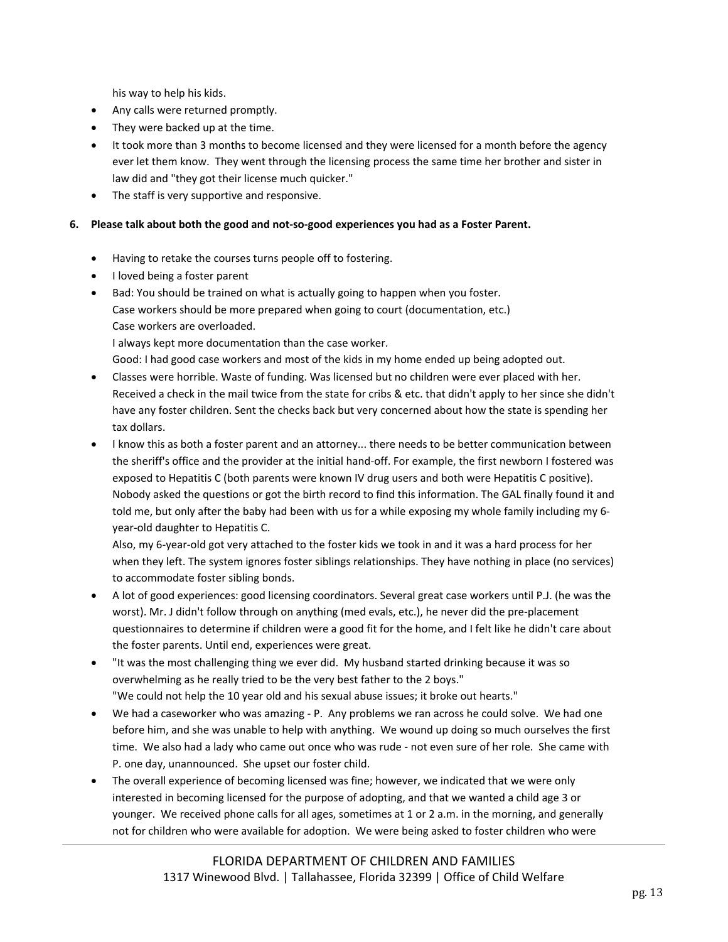his way to help his kids.

- Any calls were returned promptly.
- They were backed up at the time.
- It took more than 3 months to become licensed and they were licensed for a month before the agency ever let them know. They went through the licensing process the same time her brother and sister in law did and "they got their license much quicker."
- The staff is very supportive and responsive.

#### 6. Please talk about both the good and not-so-good experiences you had as a Foster Parent.

- Having to retake the courses turns people off to fostering.
- I loved being a foster parent
- Bad: You should be trained on what is actually going to happen when you foster. Case workers should be more prepared when going to court (documentation, etc.) Case workers are overloaded.

I always kept more documentation than the case worker.

- Good: I had good case workers and most of the kids in my home ended up being adopted out.
- Classes were horrible. Waste of funding. Was licensed but no children were ever placed with her. Received a check in the mail twice from the state for cribs & etc. that didn't apply to her since she didn't have any foster children. Sent the checks back but very concerned about how the state is spending her tax dollars.
- I know this as both a foster parent and an attorney... there needs to be better communication between the sheriff's office and the provider at the initial hand‐off. For example, the first newborn I fostered was exposed to Hepatitis C (both parents were known IV drug users and both were Hepatitis C positive). Nobody asked the questions or got the birth record to find this information. The GAL finally found it and told me, but only after the baby had been with us for a while exposing my whole family including my 6‐ year‐old daughter to Hepatitis C.

Also, my 6‐year‐old got very attached to the foster kids we took in and it was a hard process for her when they left. The system ignores foster siblings relationships. They have nothing in place (no services) to accommodate foster sibling bonds.

- A lot of good experiences: good licensing coordinators. Several great case workers until P.J. (he was the worst). Mr. J didn't follow through on anything (med evals, etc.), he never did the pre-placement questionnaires to determine if children were a good fit for the home, and I felt like he didn't care about the foster parents. Until end, experiences were great.
- "It was the most challenging thing we ever did. My husband started drinking because it was so overwhelming as he really tried to be the very best father to the 2 boys." "We could not help the 10 year old and his sexual abuse issues; it broke out hearts."
- We had a caseworker who was amazing P. Any problems we ran across he could solve. We had one before him, and she was unable to help with anything. We wound up doing so much ourselves the first time. We also had a lady who came out once who was rude - not even sure of her role. She came with P. one day, unannounced. She upset our foster child.
- The overall experience of becoming licensed was fine; however, we indicated that we were only interested in becoming licensed for the purpose of adopting, and that we wanted a child age 3 or younger. We received phone calls for all ages, sometimes at 1 or 2 a.m. in the morning, and generally not for children who were available for adoption. We were being asked to foster children who were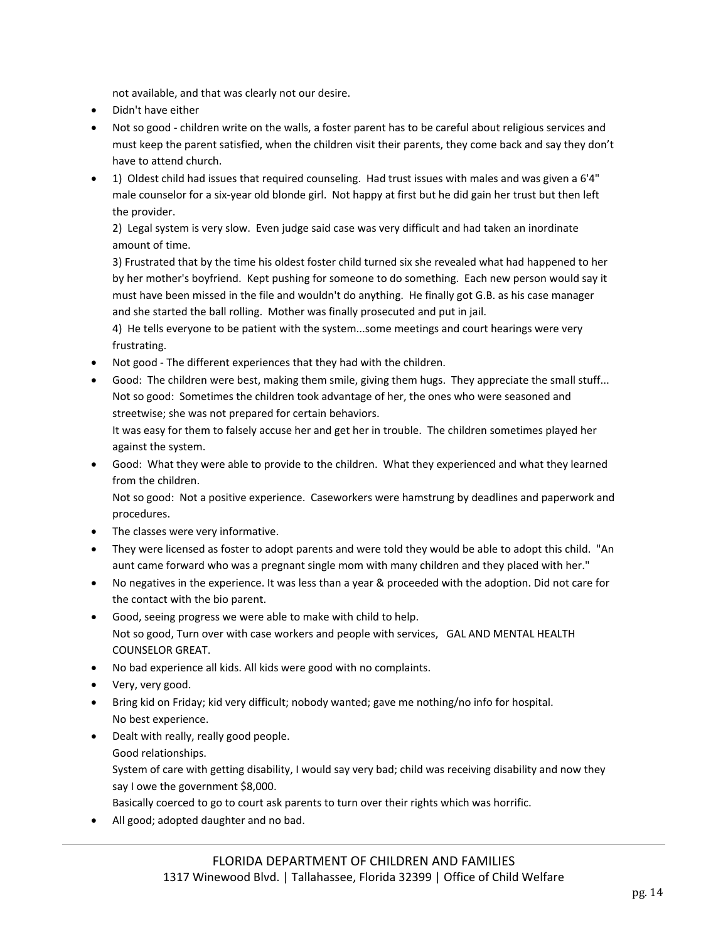not available, and that was clearly not our desire.

- Didn't have either
- Not so good children write on the walls, a foster parent has to be careful about religious services and must keep the parent satisfied, when the children visit their parents, they come back and say they don't have to attend church.
- 1) Oldest child had issues that required counseling. Had trust issues with males and was given a 6'4" male counselor for a six‐year old blonde girl. Not happy at first but he did gain her trust but then left the provider.

2) Legal system is very slow. Even judge said case was very difficult and had taken an inordinate amount of time.

3) Frustrated that by the time his oldest foster child turned six she revealed what had happened to her by her mother's boyfriend. Kept pushing for someone to do something. Each new person would say it must have been missed in the file and wouldn't do anything. He finally got G.B. as his case manager and she started the ball rolling. Mother was finally prosecuted and put in jail.

4) He tells everyone to be patient with the system...some meetings and court hearings were very frustrating.

- Not good The different experiences that they had with the children.
- Good: The children were best, making them smile, giving them hugs. They appreciate the small stuff... Not so good: Sometimes the children took advantage of her, the ones who were seasoned and streetwise; she was not prepared for certain behaviors.

It was easy for them to falsely accuse her and get her in trouble. The children sometimes played her against the system.

 Good: What they were able to provide to the children. What they experienced and what they learned from the children.

Not so good: Not a positive experience. Caseworkers were hamstrung by deadlines and paperwork and procedures.

- The classes were very informative.
- They were licensed as foster to adopt parents and were told they would be able to adopt this child. "An aunt came forward who was a pregnant single mom with many children and they placed with her."
- No negatives in the experience. It was less than a year & proceeded with the adoption. Did not care for the contact with the bio parent.
- Good, seeing progress we were able to make with child to help. Not so good, Turn over with case workers and people with services, GAL AND MENTAL HEALTH COUNSELOR GREAT.
- No bad experience all kids. All kids were good with no complaints.
- Very, very good.
- Bring kid on Friday; kid very difficult; nobody wanted; gave me nothing/no info for hospital. No best experience.
- Dealt with really, really good people. Good relationships.

System of care with getting disability, I would say very bad; child was receiving disability and now they say I owe the government \$8,000.

Basically coerced to go to court ask parents to turn over their rights which was horrific.

All good; adopted daughter and no bad.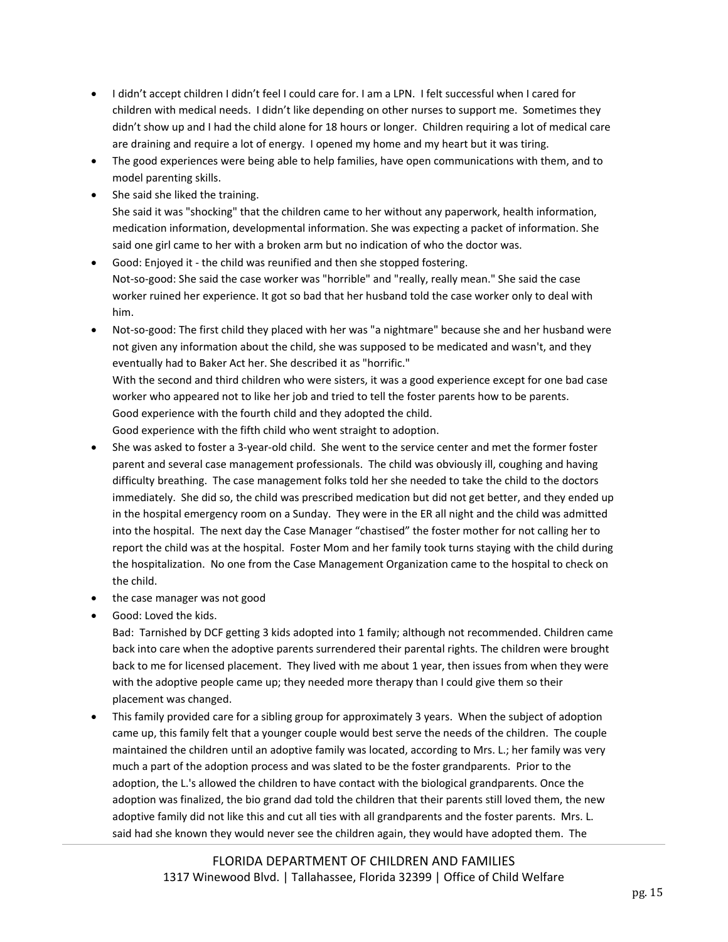- I didn't accept children I didn't feel I could care for. I am a LPN. I felt successful when I cared for children with medical needs. I didn't like depending on other nurses to support me. Sometimes they didn't show up and I had the child alone for 18 hours or longer. Children requiring a lot of medical care are draining and require a lot of energy. I opened my home and my heart but it was tiring.
- The good experiences were being able to help families, have open communications with them, and to model parenting skills.
- She said she liked the training.

She said it was "shocking" that the children came to her without any paperwork, health information, medication information, developmental information. She was expecting a packet of information. She said one girl came to her with a broken arm but no indication of who the doctor was.

 Good: Enjoyed it ‐ the child was reunified and then she stopped fostering. Not‐so‐good: She said the case worker was "horrible" and "really, really mean." She said the case worker ruined her experience. It got so bad that her husband told the case worker only to deal with him.

Not-so-good: The first child they placed with her was "a nightmare" because she and her husband were not given any information about the child, she was supposed to be medicated and wasn't, and they eventually had to Baker Act her. She described it as "horrific." With the second and third children who were sisters, it was a good experience except for one bad case worker who appeared not to like her job and tried to tell the foster parents how to be parents. Good experience with the fourth child and they adopted the child. Good experience with the fifth child who went straight to adoption.

- She was asked to foster a 3-year-old child. She went to the service center and met the former foster parent and several case management professionals. The child was obviously ill, coughing and having difficulty breathing. The case management folks told her she needed to take the child to the doctors immediately. She did so, the child was prescribed medication but did not get better, and they ended up in the hospital emergency room on a Sunday. They were in the ER all night and the child was admitted into the hospital. The next day the Case Manager "chastised" the foster mother for not calling her to report the child was at the hospital. Foster Mom and her family took turns staying with the child during the hospitalization. No one from the Case Management Organization came to the hospital to check on the child.
- the case manager was not good
- Good: Loved the kids.

Bad: Tarnished by DCF getting 3 kids adopted into 1 family; although not recommended. Children came back into care when the adoptive parents surrendered their parental rights. The children were brought back to me for licensed placement. They lived with me about 1 year, then issues from when they were with the adoptive people came up; they needed more therapy than I could give them so their placement was changed.

 This family provided care for a sibling group for approximately 3 years. When the subject of adoption came up, this family felt that a younger couple would best serve the needs of the children. The couple maintained the children until an adoptive family was located, according to Mrs. L.; her family was very much a part of the adoption process and was slated to be the foster grandparents. Prior to the adoption, the L.'s allowed the children to have contact with the biological grandparents. Once the adoption was finalized, the bio grand dad told the children that their parents still loved them, the new adoptive family did not like this and cut all ties with all grandparents and the foster parents. Mrs. L. said had she known they would never see the children again, they would have adopted them. The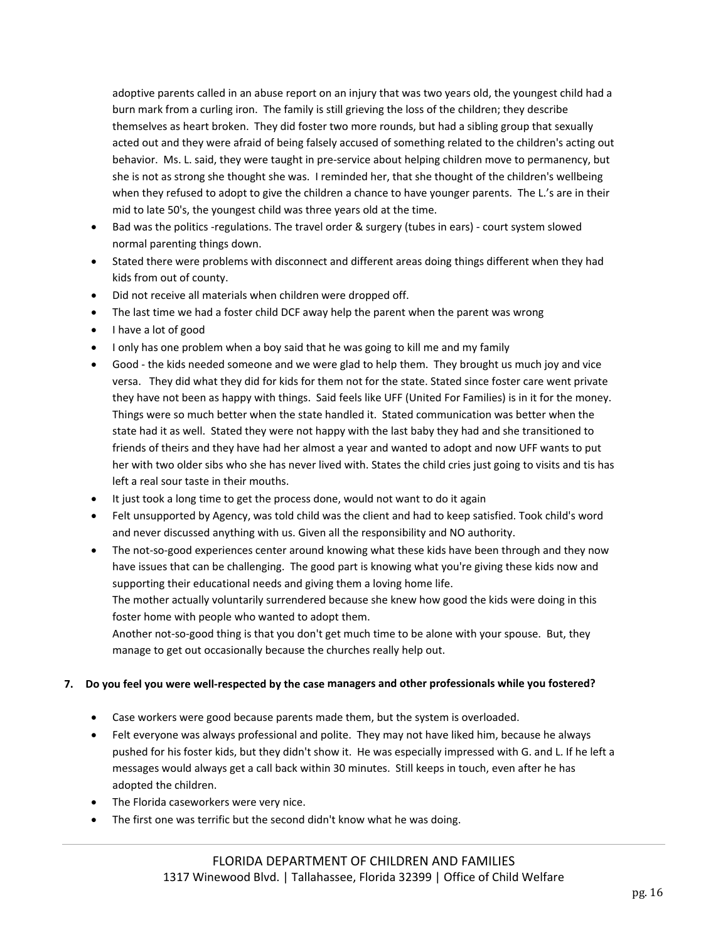adoptive parents called in an abuse report on an injury that was two years old, the youngest child had a burn mark from a curling iron. The family is still grieving the loss of the children; they describe themselves as heart broken. They did foster two more rounds, but had a sibling group that sexually acted out and they were afraid of being falsely accused of something related to the children's acting out behavior. Ms. L. said, they were taught in pre-service about helping children move to permanency, but she is not as strong she thought she was. I reminded her, that she thought of the children's wellbeing when they refused to adopt to give the children a chance to have younger parents. The L.'s are in their mid to late 50's, the youngest child was three years old at the time.

- Bad was the politics -regulations. The travel order & surgery (tubes in ears) court system slowed normal parenting things down.
- Stated there were problems with disconnect and different areas doing things different when they had kids from out of county.
- Did not receive all materials when children were dropped off.
- The last time we had a foster child DCF away help the parent when the parent was wrong
- I have a lot of good
- I only has one problem when a boy said that he was going to kill me and my family
- Good ‐ the kids needed someone and we were glad to help them. They brought us much joy and vice versa. They did what they did for kids for them not for the state. Stated since foster care went private they have not been as happy with things. Said feels like UFF (United For Families) is in it for the money. Things were so much better when the state handled it. Stated communication was better when the state had it as well. Stated they were not happy with the last baby they had and she transitioned to friends of theirs and they have had her almost a year and wanted to adopt and now UFF wants to put her with two older sibs who she has never lived with. States the child cries just going to visits and tis has left a real sour taste in their mouths.
- It just took a long time to get the process done, would not want to do it again
- Felt unsupported by Agency, was told child was the client and had to keep satisfied. Took child's word and never discussed anything with us. Given all the responsibility and NO authority.
- The not-so-good experiences center around knowing what these kids have been through and they now have issues that can be challenging. The good part is knowing what you're giving these kids now and supporting their educational needs and giving them a loving home life.

The mother actually voluntarily surrendered because she knew how good the kids were doing in this foster home with people who wanted to adopt them.

Another not-so-good thing is that you don't get much time to be alone with your spouse. But, they manage to get out occasionally because the churches really help out.

#### 7. Do you feel you were well-respected by the case managers and other professionals while you fostered?

- Case workers were good because parents made them, but the system is overloaded.
- Felt everyone was always professional and polite. They may not have liked him, because he always pushed for his foster kids, but they didn't show it. He was especially impressed with G. and L. If he left a messages would always get a call back within 30 minutes. Still keeps in touch, even after he has adopted the children.
- The Florida caseworkers were very nice.
- The first one was terrific but the second didn't know what he was doing.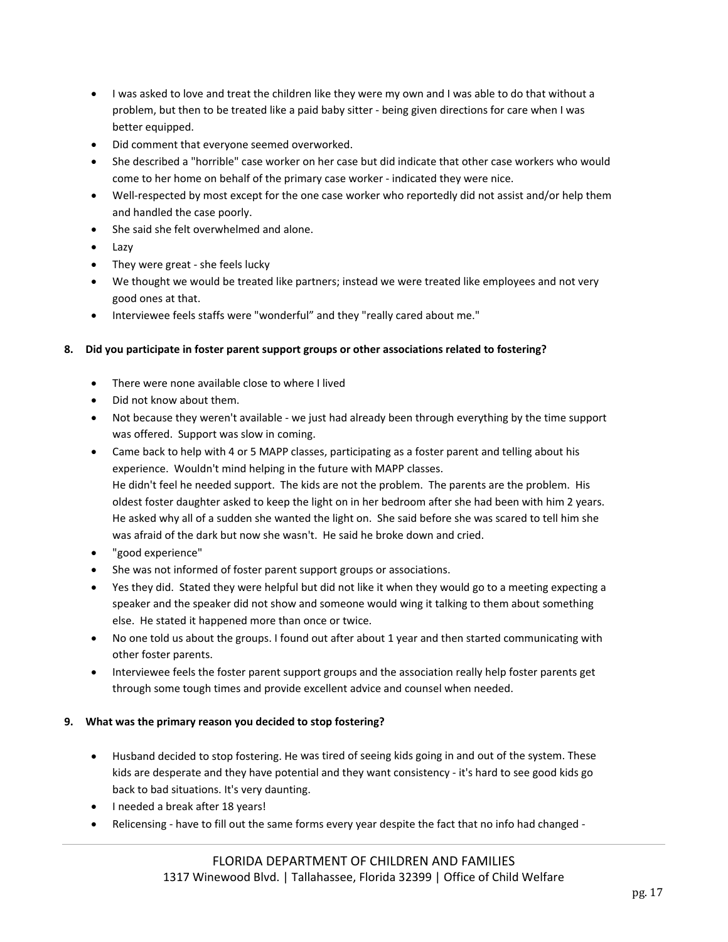- I was asked to love and treat the children like they were my own and I was able to do that without a problem, but then to be treated like a paid baby sitter - being given directions for care when I was better equipped.
- Did comment that everyone seemed overworked.
- She described a "horrible" case worker on her case but did indicate that other case workers who would come to her home on behalf of the primary case worker ‐ indicated they were nice.
- Well-respected by most except for the one case worker who reportedly did not assist and/or help them and handled the case poorly.
- She said she felt overwhelmed and alone.
- Lazy
- They were great she feels lucky
- We thought we would be treated like partners; instead we were treated like employees and not very good ones at that.
- Interviewee feels staffs were "wonderful" and they "really cared about me."

#### **8. Did you participate in foster parent support groups or other associations related to fostering?**

- There were none available close to where I lived
- Did not know about them.
- Not because they weren't available we just had already been through everything by the time support was offered. Support was slow in coming.
- Came back to help with 4 or 5 MAPP classes, participating as a foster parent and telling about his experience. Wouldn't mind helping in the future with MAPP classes. He didn't feel he needed support. The kids are not the problem. The parents are the problem. His oldest foster daughter asked to keep the light on in her bedroom after she had been with him 2 years. He asked why all of a sudden she wanted the light on. She said before she was scared to tell him she was afraid of the dark but now she wasn't. He said he broke down and cried.
- "good experience"
- She was not informed of foster parent support groups or associations.
- Yes they did. Stated they were helpful but did not like it when they would go to a meeting expecting a speaker and the speaker did not show and someone would wing it talking to them about something else. He stated it happened more than once or twice.
- No one told us about the groups. I found out after about 1 year and then started communicating with other foster parents.
- Interviewee feels the foster parent support groups and the association really help foster parents get through some tough times and provide excellent advice and counsel when needed.

#### **9. What was the primary reason you decided to stop fostering?**

- Husband decided to stop fostering. He was tired of seeing kids going in and out of the system. These kids are desperate and they have potential and they want consistency - it's hard to see good kids go back to bad situations. It's very daunting.
- I needed a break after 18 years!
- Relicensing have to fill out the same forms every year despite the fact that no info had changed -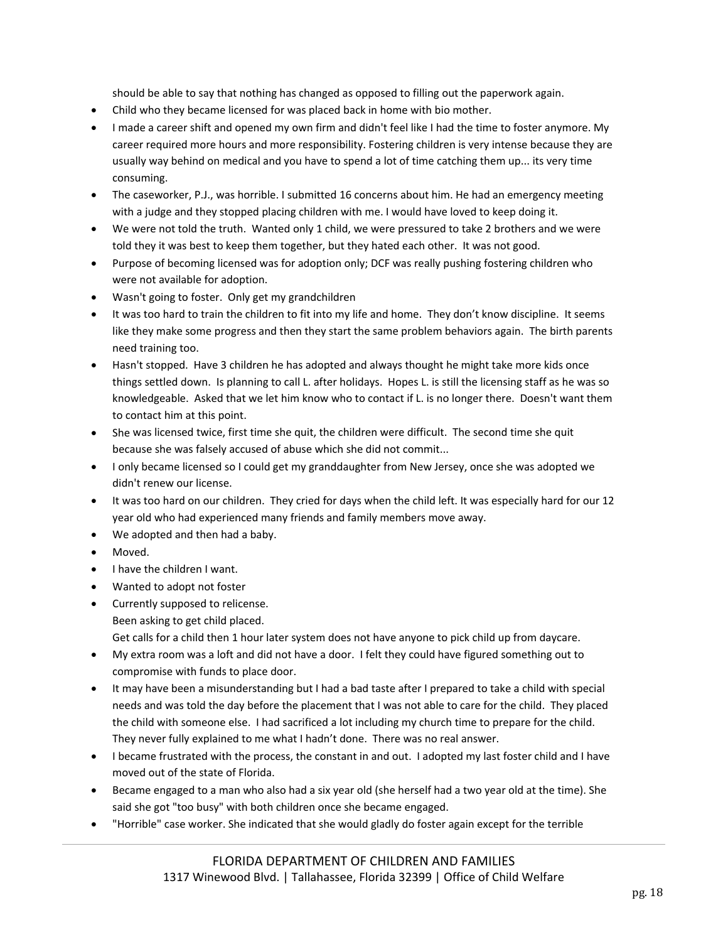should be able to say that nothing has changed as opposed to filling out the paperwork again.

- Child who they became licensed for was placed back in home with bio mother.
- I made a career shift and opened my own firm and didn't feel like I had the time to foster anymore. My career required more hours and more responsibility. Fostering children is very intense because they are usually way behind on medical and you have to spend a lot of time catching them up... its very time consuming.
- The caseworker, P.J., was horrible. I submitted 16 concerns about him. He had an emergency meeting with a judge and they stopped placing children with me. I would have loved to keep doing it.
- We were not told the truth. Wanted only 1 child, we were pressured to take 2 brothers and we were told they it was best to keep them together, but they hated each other. It was not good.
- Purpose of becoming licensed was for adoption only; DCF was really pushing fostering children who were not available for adoption.
- Wasn't going to foster. Only get my grandchildren
- It was too hard to train the children to fit into my life and home. They don't know discipline. It seems like they make some progress and then they start the same problem behaviors again. The birth parents need training too.
- Hasn't stopped. Have 3 children he has adopted and always thought he might take more kids once things settled down. Is planning to call L. after holidays. Hopes L. is still the licensing staff as he was so knowledgeable. Asked that we let him know who to contact if L. is no longer there. Doesn't want them to contact him at this point.
- She was licensed twice, first time she quit, the children were difficult. The second time she quit because she was falsely accused of abuse which she did not commit...
- I only became licensed so I could get my granddaughter from New Jersey, once she was adopted we didn't renew our license.
- It was too hard on our children. They cried for days when the child left. It was especially hard for our 12 year old who had experienced many friends and family members move away.
- We adopted and then had a baby.
- Moved.
- I have the children I want.
- Wanted to adopt not foster
- Currently supposed to relicense. Been asking to get child placed. Get calls for a child then 1 hour later system does not have anyone to pick child up from daycare.
- My extra room was a loft and did not have a door. I felt they could have figured something out to compromise with funds to place door.
- It may have been a misunderstanding but I had a bad taste after I prepared to take a child with special needs and was told the day before the placement that I was not able to care for the child. They placed the child with someone else. I had sacrificed a lot including my church time to prepare for the child. They never fully explained to me what I hadn't done. There was no real answer.
- I became frustrated with the process, the constant in and out. I adopted my last foster child and I have moved out of the state of Florida.
- Became engaged to a man who also had a six year old (she herself had a two year old at the time). She said she got "too busy" with both children once she became engaged.
- "Horrible" case worker. She indicated that she would gladly do foster again except for the terrible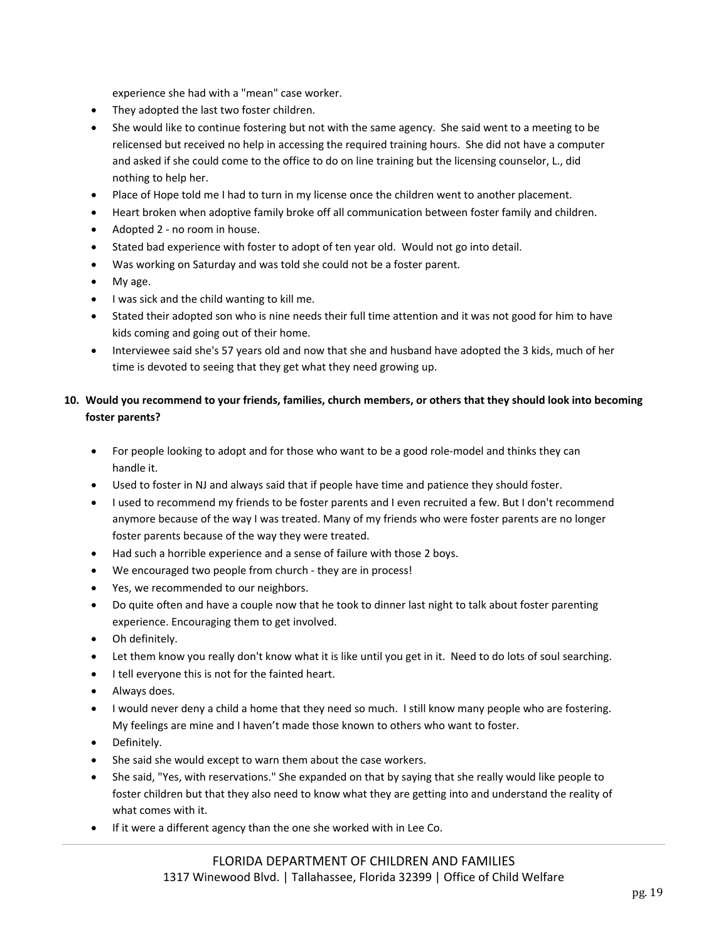experience she had with a "mean" case worker.

- They adopted the last two foster children.
- She would like to continue fostering but not with the same agency. She said went to a meeting to be relicensed but received no help in accessing the required training hours. She did not have a computer and asked if she could come to the office to do on line training but the licensing counselor, L., did nothing to help her.
- Place of Hope told me I had to turn in my license once the children went to another placement.
- Heart broken when adoptive family broke off all communication between foster family and children.
- Adopted 2 no room in house.
- Stated bad experience with foster to adopt of ten year old. Would not go into detail.
- Was working on Saturday and was told she could not be a foster parent.
- My age.
- I was sick and the child wanting to kill me.
- Stated their adopted son who is nine needs their full time attention and it was not good for him to have kids coming and going out of their home.
- Interviewee said she's 57 years old and now that she and husband have adopted the 3 kids, much of her time is devoted to seeing that they get what they need growing up.

## 10. Would you recommend to your friends, families, church members, or others that they should look into becoming **foster parents?**

- For people looking to adopt and for those who want to be a good role‐model and thinks they can handle it.
- Used to foster in NJ and always said that if people have time and patience they should foster.
- I used to recommend my friends to be foster parents and I even recruited a few. But I don't recommend anymore because of the way I was treated. Many of my friends who were foster parents are no longer foster parents because of the way they were treated.
- Had such a horrible experience and a sense of failure with those 2 boys.
- We encouraged two people from church ‐ they are in process!
- Yes, we recommended to our neighbors.
- Do quite often and have a couple now that he took to dinner last night to talk about foster parenting experience. Encouraging them to get involved.
- Oh definitely.
- Let them know you really don't know what it is like until you get in it. Need to do lots of soul searching.
- I tell everyone this is not for the fainted heart.
- Always does.
- I would never deny a child a home that they need so much. I still know many people who are fostering. My feelings are mine and I haven't made those known to others who want to foster.
- **•** Definitely.
- She said she would except to warn them about the case workers.
- She said, "Yes, with reservations." She expanded on that by saying that she really would like people to foster children but that they also need to know what they are getting into and understand the reality of what comes with it.
- If it were a different agency than the one she worked with in Lee Co.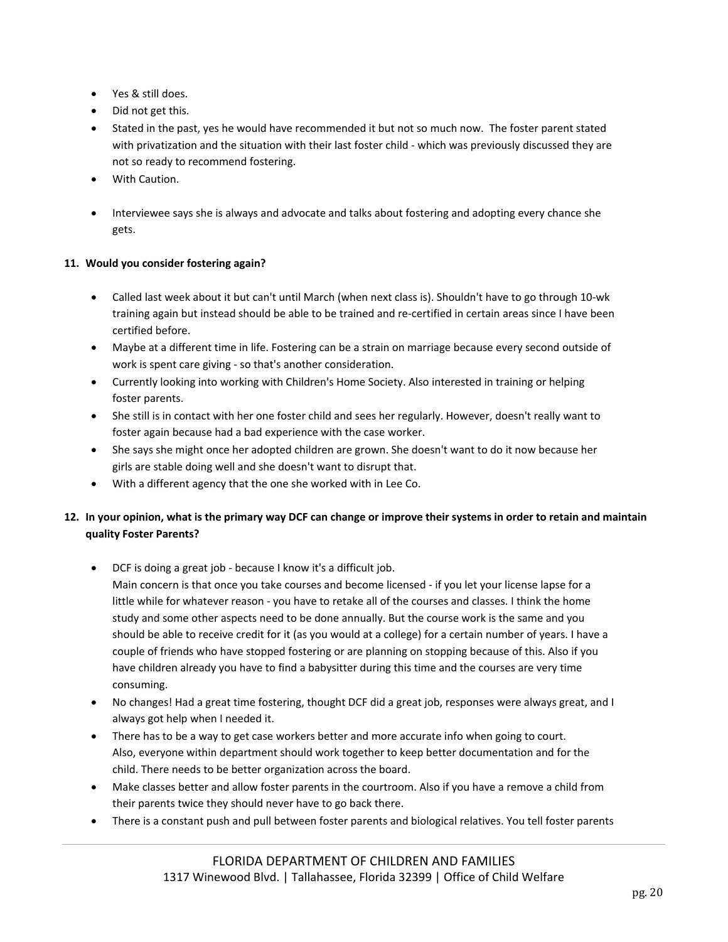- Yes & still does.
- Did not get this.
- Stated in the past, yes he would have recommended it but not so much now. The foster parent stated with privatization and the situation with their last foster child - which was previously discussed they are not so ready to recommend fostering.
- With Caution.
- Interviewee says she is always and advocate and talks about fostering and adopting every chance she gets.

## **11. Would you consider fostering again?**

- Called last week about it but can't until March (when next class is). Shouldn't have to go through 10‐wk training again but instead should be able to be trained and re‐certified in certain areas since I have been certified before.
- Maybe at a different time in life. Fostering can be a strain on marriage because every second outside of work is spent care giving ‐ so that's another consideration.
- Currently looking into working with Children's Home Society. Also interested in training or helping foster parents.
- She still is in contact with her one foster child and sees her regularly. However, doesn't really want to foster again because had a bad experience with the case worker.
- She says she might once her adopted children are grown. She doesn't want to do it now because her girls are stable doing well and she doesn't want to disrupt that.
- With a different agency that the one she worked with in Lee Co.

# 12. In your opinion, what is the primary way DCF can change or improve their systems in order to retain and maintain **quality Foster Parents?**

DCF is doing a great job ‐ because I know it's a difficult job.

Main concern is that once you take courses and become licensed - if you let your license lapse for a little while for whatever reason ‐ you have to retake all of the courses and classes. I think the home study and some other aspects need to be done annually. But the course work is the same and you should be able to receive credit for it (as you would at a college) for a certain number of years. I have a couple of friends who have stopped fostering or are planning on stopping because of this. Also if you have children already you have to find a babysitter during this time and the courses are very time consuming.

- No changes! Had a great time fostering, thought DCF did a great job, responses were always great, and I always got help when I needed it.
- There has to be a way to get case workers better and more accurate info when going to court. Also, everyone within department should work together to keep better documentation and for the child. There needs to be better organization across the board.
- Make classes better and allow foster parents in the courtroom. Also if you have a remove a child from their parents twice they should never have to go back there.
- There is a constant push and pull between foster parents and biological relatives. You tell foster parents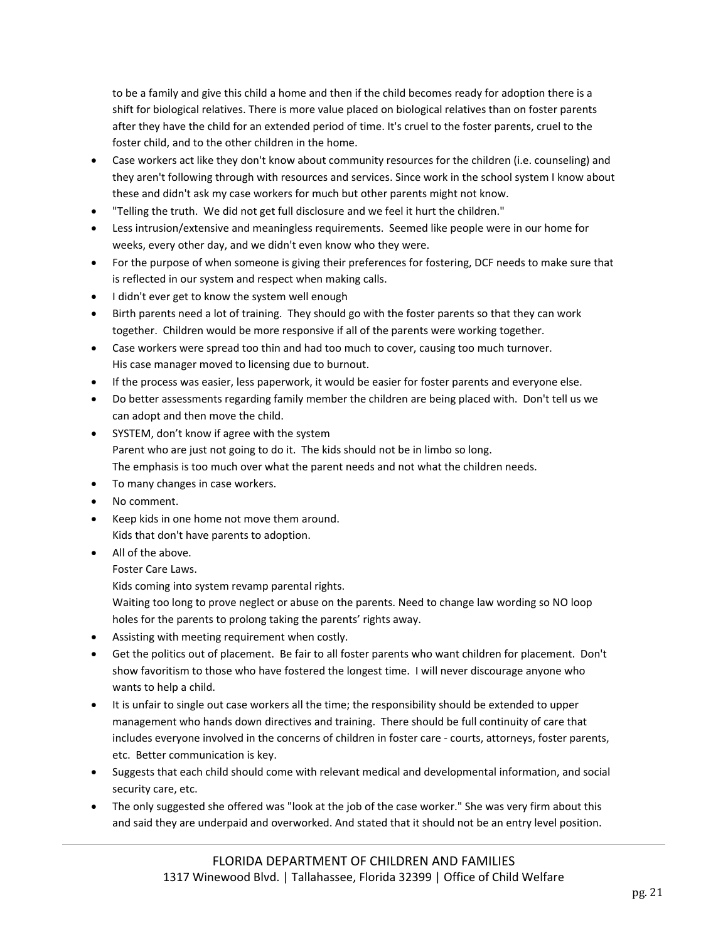to be a family and give this child a home and then if the child becomes ready for adoption there is a shift for biological relatives. There is more value placed on biological relatives than on foster parents after they have the child for an extended period of time. It's cruel to the foster parents, cruel to the foster child, and to the other children in the home.

- Case workers act like they don't know about community resources for the children (i.e. counseling) and they aren't following through with resources and services. Since work in the school system I know about these and didn't ask my case workers for much but other parents might not know.
- "Telling the truth. We did not get full disclosure and we feel it hurt the children."
- Less intrusion/extensive and meaningless requirements. Seemed like people were in our home for weeks, every other day, and we didn't even know who they were.
- For the purpose of when someone is giving their preferences for fostering, DCF needs to make sure that is reflected in our system and respect when making calls.
- I didn't ever get to know the system well enough
- Birth parents need a lot of training. They should go with the foster parents so that they can work together. Children would be more responsive if all of the parents were working together.
- Case workers were spread too thin and had too much to cover, causing too much turnover. His case manager moved to licensing due to burnout.
- If the process was easier, less paperwork, it would be easier for foster parents and everyone else.
- Do better assessments regarding family member the children are being placed with. Don't tell us we can adopt and then move the child.
- SYSTEM, don't know if agree with the system Parent who are just not going to do it. The kids should not be in limbo so long. The emphasis is too much over what the parent needs and not what the children needs.
- To many changes in case workers.
- No comment.
- Keep kids in one home not move them around. Kids that don't have parents to adoption.
- All of the above.
	- Foster Care Laws.

Kids coming into system revamp parental rights.

Waiting too long to prove neglect or abuse on the parents. Need to change law wording so NO loop holes for the parents to prolong taking the parents' rights away.

- Assisting with meeting requirement when costly.
- Get the politics out of placement. Be fair to all foster parents who want children for placement. Don't show favoritism to those who have fostered the longest time. I will never discourage anyone who wants to help a child.
- It is unfair to single out case workers all the time; the responsibility should be extended to upper management who hands down directives and training. There should be full continuity of care that includes everyone involved in the concerns of children in foster care ‐ courts, attorneys, foster parents, etc. Better communication is key.
- Suggests that each child should come with relevant medical and developmental information, and social security care, etc.
- The only suggested she offered was "look at the job of the case worker." She was very firm about this and said they are underpaid and overworked. And stated that it should not be an entry level position.